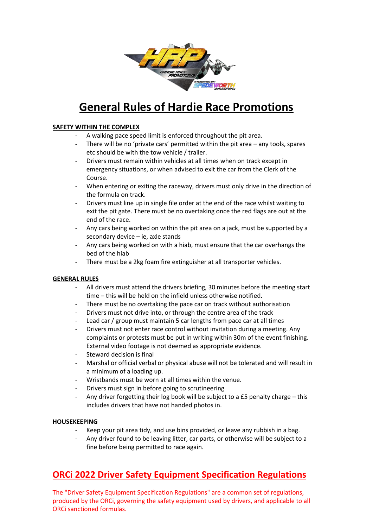

# **General Rules of Hardie Race Promotions**

### **SAFETY WITHIN THE COMPLEX**

- A walking pace speed limit is enforced throughout the pit area.
- There will be no 'private cars' permitted within the pit area any tools, spares etc should be with the tow vehicle / trailer.
- Drivers must remain within vehicles at all times when on track except in emergency situations, or when advised to exit the car from the Clerk of the Course.
- When entering or exiting the raceway, drivers must only drive in the direction of the formula on track.
- Drivers must line up in single file order at the end of the race whilst waiting to exit the pit gate. There must be no overtaking once the red flags are out at the end of the race.
- Any cars being worked on within the pit area on a jack, must be supported by a secondary device – ie, axle stands
- Any cars being worked on with a hiab, must ensure that the car overhangs the bed of the hiab
- There must be a 2kg foam fire extinguisher at all transporter vehicles.

#### **GENERAL RULES**

- All drivers must attend the drivers briefing, 30 minutes before the meeting start time – this will be held on the infield unless otherwise notified.
- There must be no overtaking the pace car on track without authorisation
- Drivers must not drive into, or through the centre area of the track
- Lead car / group must maintain 5 car lengths from pace car at all times
- Drivers must not enter race control without invitation during a meeting. Any complaints or protests must be put in writing within 30m of the event finishing. External video footage is not deemed as appropriate evidence.
- Steward decision is final
- Marshal or official verbal or physical abuse will not be tolerated and will result in a minimum of a loading up.
- Wristbands must be worn at all times within the venue.
- Drivers must sign in before going to scrutineering
- Any driver forgetting their log book will be subject to a £5 penalty charge this includes drivers that have not handed photos in.

#### **HOUSEKEEPING**

- Keep your pit area tidy, and use bins provided, or leave any rubbish in a bag.
- Any driver found to be leaving litter, car parts, or otherwise will be subject to a fine before being permitted to race again.

## **ORCi 2022 Driver Safety Equipment Specification Regulations**

The "Driver Safety Equipment Specification Regulations" are a common set of regulations, produced by the ORCi, governing the safety equipment used by drivers, and applicable to all ORCi sanctioned formulas.